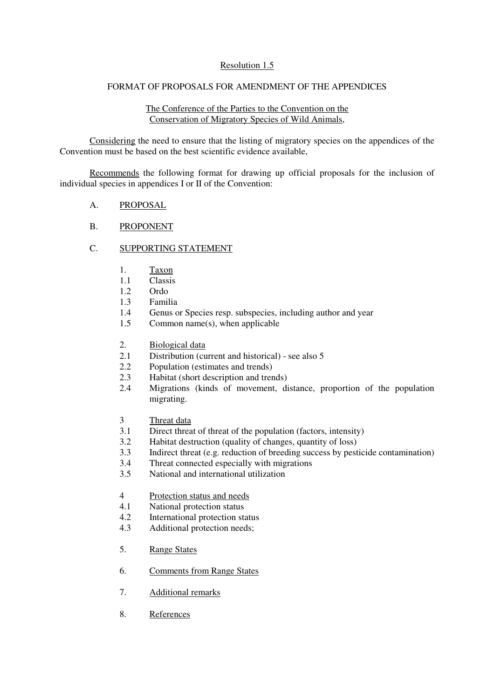## Resolution 1.5

## FORMAT OF PROPOSALS FOR AMENDMENT OF THE APPENDICES

### The Conference of the Parties to the Convention on the Conservation of Migratory Species of Wild Animals,

Considering the need to ensure that the listing of migratory species on the appendices of the Convention must be based on the best scientific evidence available,

Recommends the following format for drawing up official proposals for the inclusion of individual species in appendices I or II of the Convention:

### A. PROPOSAL

# B. PROPONENT

### C. SUPPORTING STATEMENT

- 1. Taxon
- 1.1 Classis
- 1.2 Ordo
- 1.3 Familia
- 1.4 Genus or Species resp. subspecies, including author and year
- 1.5 Common name(s), when applicable
- 2. Biological data
- 2.1 Distribution (current and historical) see also 5
- 2.2 Population (estimates and trends)
- 2.3 Habitat (short description and trends)
- 2.4 Migrations (kinds of movement, distance, proportion of the population migrating.
- 3 Threat data
- 3.1 Direct threat of threat of the population (factors, intensity)<br>3.2 Habitat destruction (quality of changes quantity of loss)
- 3.2 Habitat destruction (quality of changes, quantity of loss)
- 3.3 Indirect threat (e.g. reduction of breeding success by pesticide contamination)
- 3.4 Threat connected especially with migrations
- 3.5 National and international utilization
- 4 Protection status and needs
- 4.1 National protection status
- 4.2 International protection status
- 4.3 Additional protection needs;
- 5. Range States
- 6. Comments from Range States
- 7. Additional remarks
- 8. References